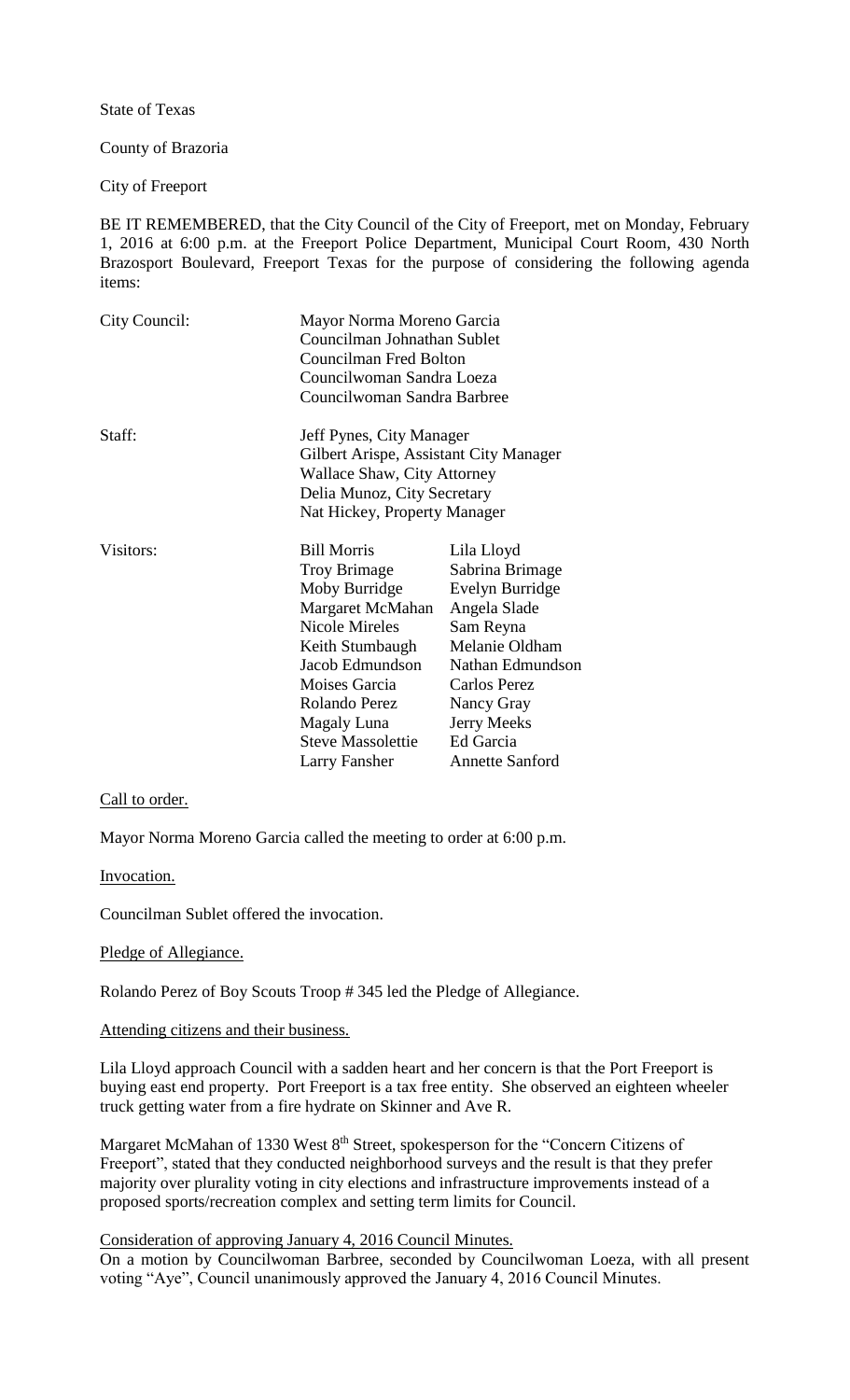State of Texas

County of Brazoria

City of Freeport

BE IT REMEMBERED, that the City Council of the City of Freeport, met on Monday, February 1, 2016 at 6:00 p.m. at the Freeport Police Department, Municipal Court Room, 430 North Brazosport Boulevard, Freeport Texas for the purpose of considering the following agenda items:

| City Council: | Mayor Norma Moreno Garcia<br>Councilman Johnathan Sublet<br>Councilman Fred Bolton<br>Councilwoman Sandra Loeza<br>Councilwoman Sandra Barbree                                                                                              |                                                                                                                                                                                                                |
|---------------|---------------------------------------------------------------------------------------------------------------------------------------------------------------------------------------------------------------------------------------------|----------------------------------------------------------------------------------------------------------------------------------------------------------------------------------------------------------------|
| Staff:        | Jeff Pynes, City Manager<br>Gilbert Arispe, Assistant City Manager<br><b>Wallace Shaw, City Attorney</b><br>Delia Munoz, City Secretary<br>Nat Hickey, Property Manager                                                                     |                                                                                                                                                                                                                |
| Visitors:     | <b>Bill Morris</b><br><b>Troy Brimage</b><br>Moby Burridge<br>Margaret McMahan<br><b>Nicole Mireles</b><br>Keith Stumbaugh<br>Jacob Edmundson<br>Moises Garcia<br>Rolando Perez<br>Magaly Luna<br><b>Steve Massolettie</b><br>Larry Fansher | Lila Lloyd<br>Sabrina Brimage<br>Evelyn Burridge<br>Angela Slade<br>Sam Reyna<br>Melanie Oldham<br>Nathan Edmundson<br><b>Carlos Perez</b><br>Nancy Gray<br>Jerry Meeks<br>Ed Garcia<br><b>Annette Sanford</b> |

## Call to order.

Mayor Norma Moreno Garcia called the meeting to order at 6:00 p.m.

Invocation.

Councilman Sublet offered the invocation.

## Pledge of Allegiance.

Rolando Perez of Boy Scouts Troop # 345 led the Pledge of Allegiance.

## Attending citizens and their business.

Lila Lloyd approach Council with a sadden heart and her concern is that the Port Freeport is buying east end property. Port Freeport is a tax free entity. She observed an eighteen wheeler truck getting water from a fire hydrate on Skinner and Ave R.

Margaret McMahan of 1330 West 8<sup>th</sup> Street, spokesperson for the "Concern Citizens of Freeport", stated that they conducted neighborhood surveys and the result is that they prefer majority over plurality voting in city elections and infrastructure improvements instead of a proposed sports/recreation complex and setting term limits for Council.

# Consideration of approving January 4, 2016 Council Minutes.

On a motion by Councilwoman Barbree, seconded by Councilwoman Loeza, with all present voting "Aye", Council unanimously approved the January 4, 2016 Council Minutes.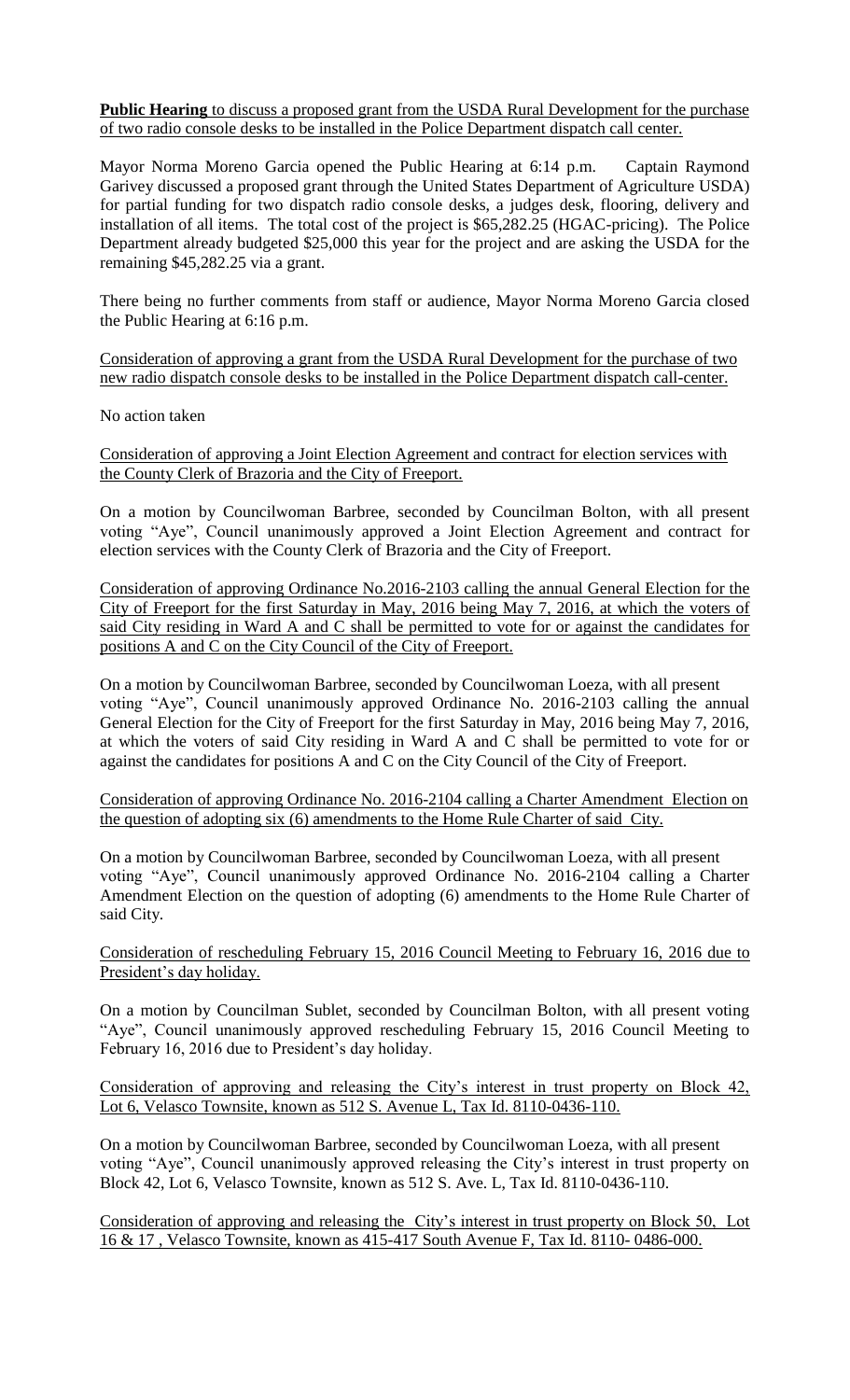**Public Hearing** to discuss a proposed grant from the USDA Rural Development for the purchase of two radio console desks to be installed in the Police Department dispatch call center.

Mayor Norma Moreno Garcia opened the Public Hearing at 6:14 p.m. Captain Raymond Garivey discussed a proposed grant through the United States Department of Agriculture USDA) for partial funding for two dispatch radio console desks, a judges desk, flooring, delivery and installation of all items. The total cost of the project is \$65,282.25 (HGAC-pricing). The Police Department already budgeted \$25,000 this year for the project and are asking the USDA for the remaining \$45,282.25 via a grant.

There being no further comments from staff or audience, Mayor Norma Moreno Garcia closed the Public Hearing at 6:16 p.m.

Consideration of approving a grant from the USDA Rural Development for the purchase of two new radio dispatch console desks to be installed in the Police Department dispatch call-center.

No action taken

Consideration of approving a Joint Election Agreement and contract for election services with the County Clerk of Brazoria and the City of Freeport.

On a motion by Councilwoman Barbree, seconded by Councilman Bolton, with all present voting "Aye", Council unanimously approved a Joint Election Agreement and contract for election services with the County Clerk of Brazoria and the City of Freeport.

Consideration of approving Ordinance No.2016-2103 calling the annual General Election for the City of Freeport for the first Saturday in May, 2016 being May 7, 2016, at which the voters of said City residing in Ward A and C shall be permitted to vote for or against the candidates for positions A and C on the City Council of the City of Freeport.

On a motion by Councilwoman Barbree, seconded by Councilwoman Loeza, with all present voting "Aye", Council unanimously approved Ordinance No. 2016-2103 calling the annual General Election for the City of Freeport for the first Saturday in May, 2016 being May 7, 2016, at which the voters of said City residing in Ward A and C shall be permitted to vote for or against the candidates for positions A and C on the City Council of the City of Freeport.

Consideration of approving Ordinance No. 2016-2104 calling a Charter Amendment Election on the question of adopting six (6) amendments to the Home Rule Charter of said City.

On a motion by Councilwoman Barbree, seconded by Councilwoman Loeza, with all present voting "Aye", Council unanimously approved Ordinance No. 2016-2104 calling a Charter Amendment Election on the question of adopting (6) amendments to the Home Rule Charter of said City.

Consideration of rescheduling February 15, 2016 Council Meeting to February 16, 2016 due to President's day holiday.

On a motion by Councilman Sublet, seconded by Councilman Bolton, with all present voting "Aye", Council unanimously approved rescheduling February 15, 2016 Council Meeting to February 16, 2016 due to President's day holiday.

Consideration of approving and releasing the City's interest in trust property on Block 42, Lot 6, Velasco Townsite, known as 512 S. Avenue L, Tax Id. 8110-0436-110.

On a motion by Councilwoman Barbree, seconded by Councilwoman Loeza, with all present voting "Aye", Council unanimously approved releasing the City's interest in trust property on Block 42, Lot 6, Velasco Townsite, known as 512 S. Ave. L, Tax Id. 8110-0436-110.

Consideration of approving and releasing the City's interest in trust property on Block 50, Lot 16 & 17 , Velasco Townsite, known as 415-417 South Avenue F, Tax Id. 8110- 0486-000.